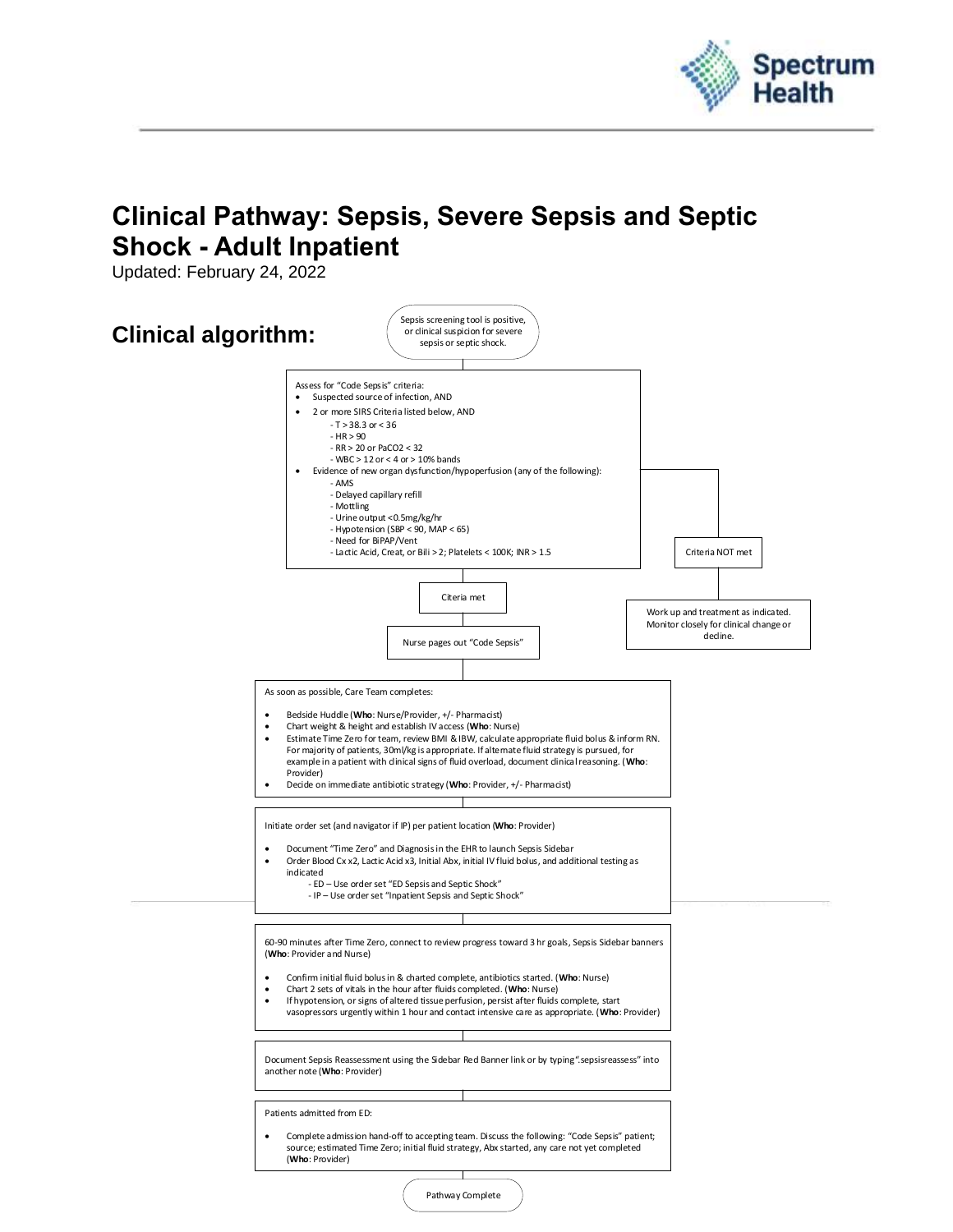

# **Clinical Pathway: Sepsis, Severe Sepsis and Septic Shock - Adult Inpatient**

Updated: February 24, 2022

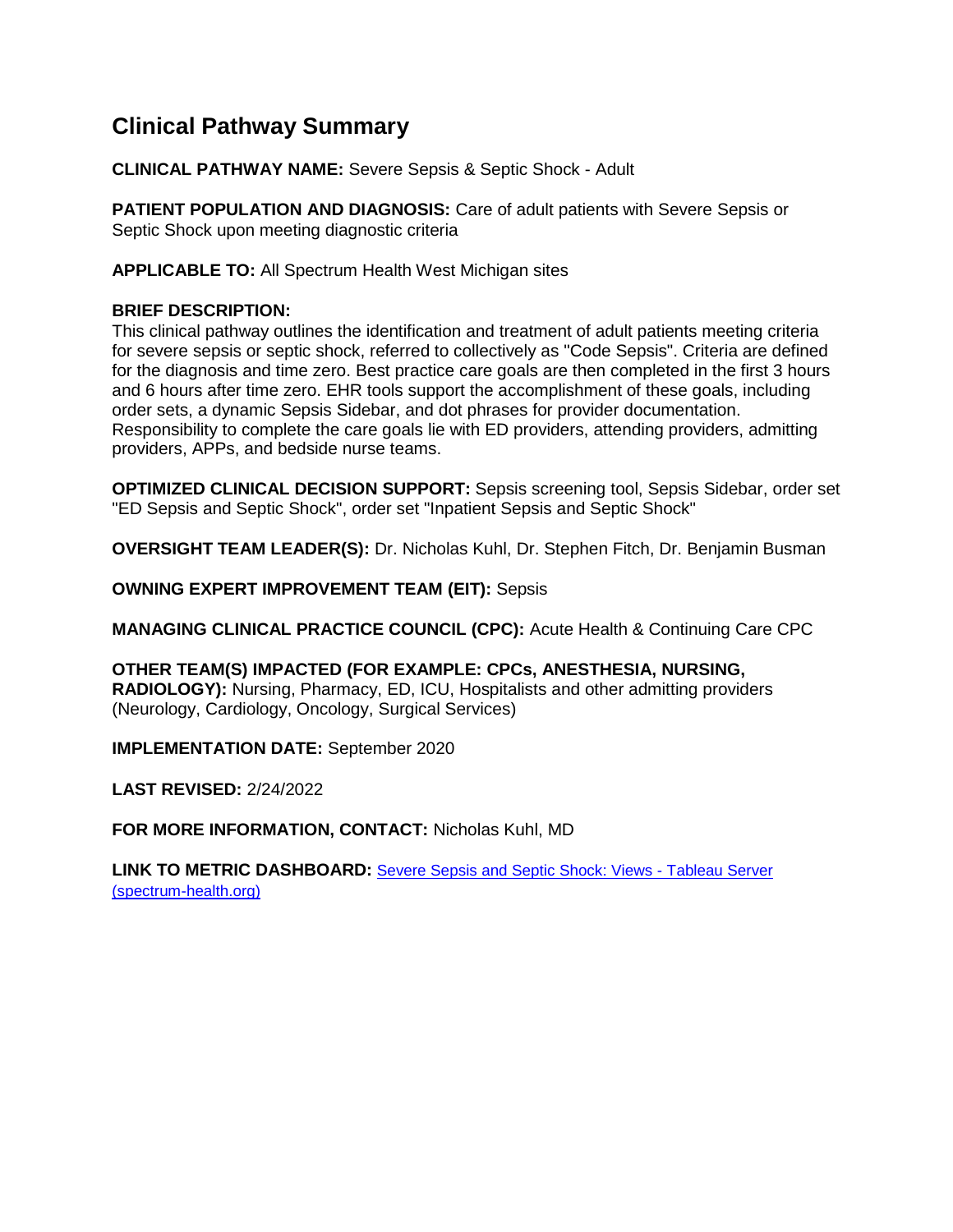### **Clinical Pathway Summary**

**CLINICAL PATHWAY NAME:** Severe Sepsis & Septic Shock - Adult

**PATIENT POPULATION AND DIAGNOSIS:** Care of adult patients with Severe Sepsis or Septic Shock upon meeting diagnostic criteria

**APPLICABLE TO:** All Spectrum Health West Michigan sites

#### **BRIEF DESCRIPTION:**

This clinical pathway outlines the identification and treatment of adult patients meeting criteria for severe sepsis or septic shock, referred to collectively as "Code Sepsis". Criteria are defined for the diagnosis and time zero. Best practice care goals are then completed in the first 3 hours and 6 hours after time zero. EHR tools support the accomplishment of these goals, including order sets, a dynamic Sepsis Sidebar, and dot phrases for provider documentation. Responsibility to complete the care goals lie with ED providers, attending providers, admitting providers, APPs, and bedside nurse teams.

**OPTIMIZED CLINICAL DECISION SUPPORT:** Sepsis screening tool, Sepsis Sidebar, order set "ED Sepsis and Septic Shock", order set "Inpatient Sepsis and Septic Shock"

**OVERSIGHT TEAM LEADER(S):** Dr. Nicholas Kuhl, Dr. Stephen Fitch, Dr. Benjamin Busman

**OWNING EXPERT IMPROVEMENT TEAM (EIT):** Sepsis

**MANAGING CLINICAL PRACTICE COUNCIL (CPC):** Acute Health & Continuing Care CPC

**OTHER TEAM(S) IMPACTED (FOR EXAMPLE: CPCs, ANESTHESIA, NURSING, RADIOLOGY):** Nursing, Pharmacy, ED, ICU, Hospitalists and other admitting providers (Neurology, Cardiology, Oncology, Surgical Services)

**IMPLEMENTATION DATE:** September 2020

**LAST REVISED:** 2/24/2022

**FOR MORE INFORMATION, CONTACT:** Nicholas Kuhl, MD

**LINK TO METRIC DASHBOARD:** [Severe Sepsis and Septic Shock: Views -](https://tableaugw.spectrum-health.org/#/site/Certified/workbooks/22355/views) Tableau Server [\(spectrum-health.org\)](https://tableaugw.spectrum-health.org/#/site/Certified/workbooks/22355/views)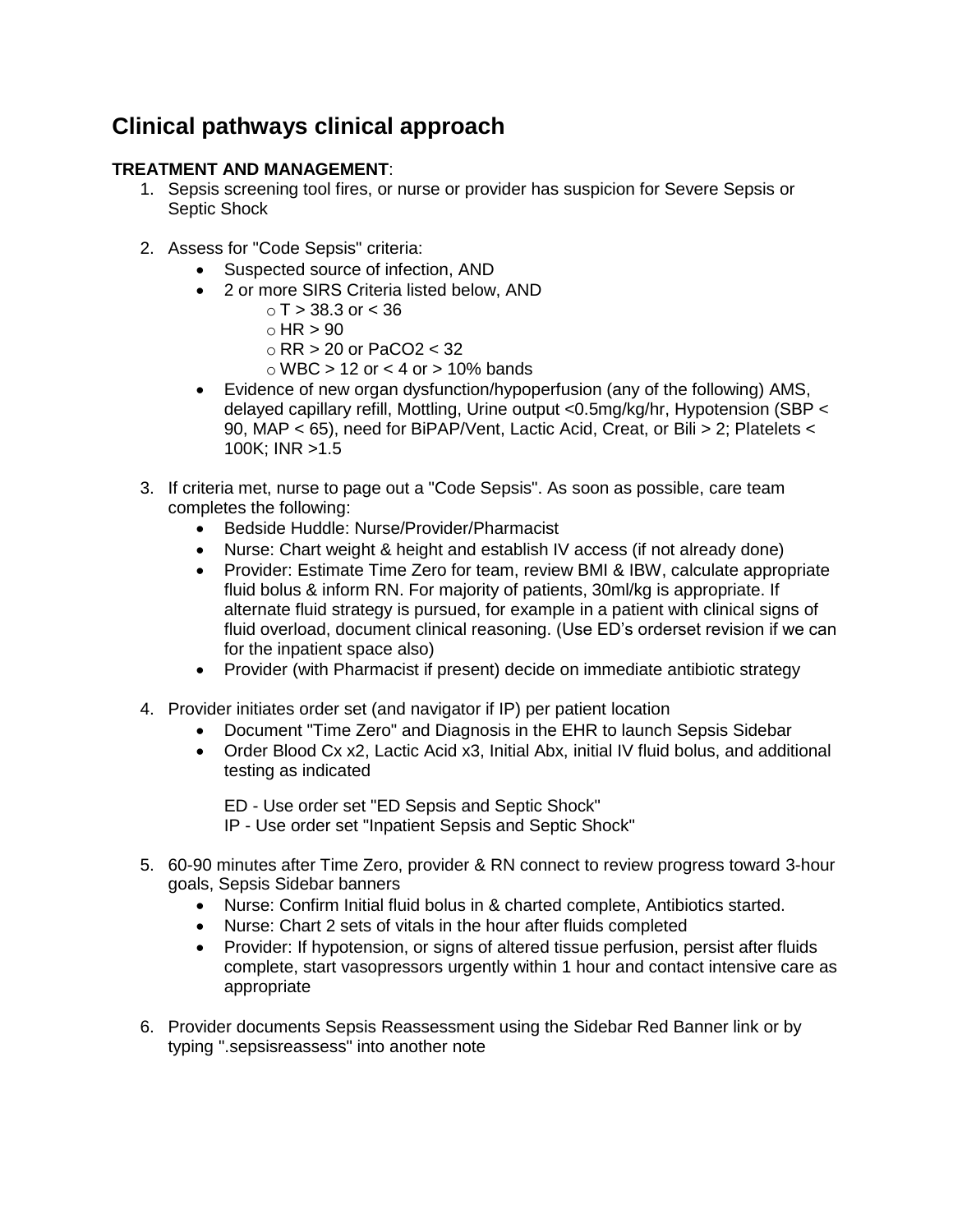## **Clinical pathways clinical approach**

#### **TREATMENT AND MANAGEMENT**:

- 1. Sepsis screening tool fires, or nurse or provider has suspicion for Severe Sepsis or Septic Shock
- 2. Assess for "Code Sepsis" criteria:
	- Suspected source of infection, AND
	- 2 or more SIRS Criteria listed below, AND
		- $\circ$  T  $>$  38.3 or  $<$  36
		- $\circ$  HR  $> 90$
		- $\circ$  RR  $>$  20 or PaCO2  $<$  32
		- $\circ$  WBC  $>$  12 or  $<$  4 or  $>$  10% bands
	- Evidence of new organ dysfunction/hypoperfusion (any of the following) AMS, delayed capillary refill, Mottling, Urine output <0.5mg/kg/hr, Hypotension (SBP < 90, MAP < 65), need for BiPAP/Vent, Lactic Acid, Creat, or Bili > 2; Platelets < 100K; INR >1.5
- 3. If criteria met, nurse to page out a "Code Sepsis". As soon as possible, care team completes the following:
	- Bedside Huddle: Nurse/Provider/Pharmacist
	- Nurse: Chart weight & height and establish IV access (if not already done)
	- Provider: Estimate Time Zero for team, review BMI & IBW, calculate appropriate fluid bolus & inform RN. For majority of patients, 30ml/kg is appropriate. If alternate fluid strategy is pursued, for example in a patient with clinical signs of fluid overload, document clinical reasoning. (Use ED's orderset revision if we can for the inpatient space also)
	- Provider (with Pharmacist if present) decide on immediate antibiotic strategy
- 4. Provider initiates order set (and navigator if IP) per patient location
	- Document "Time Zero" and Diagnosis in the EHR to launch Sepsis Sidebar
	- Order Blood Cx x2, Lactic Acid x3, Initial Abx, initial IV fluid bolus, and additional testing as indicated

ED - Use order set "ED Sepsis and Septic Shock" IP - Use order set "Inpatient Sepsis and Septic Shock"

- 5. 60-90 minutes after Time Zero, provider & RN connect to review progress toward 3-hour goals, Sepsis Sidebar banners
	- Nurse: Confirm Initial fluid bolus in & charted complete, Antibiotics started.
	- Nurse: Chart 2 sets of vitals in the hour after fluids completed
	- Provider: If hypotension, or signs of altered tissue perfusion, persist after fluids complete, start vasopressors urgently within 1 hour and contact intensive care as appropriate
- 6. Provider documents Sepsis Reassessment using the Sidebar Red Banner link or by typing ".sepsisreassess" into another note